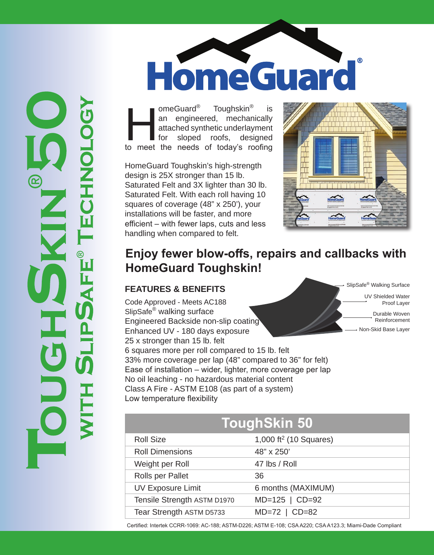HomeGuard

meGuard<sup>®</sup> Toughskin<sup>®</sup> is<br>
an engineered, mechanically<br>
attached synthetic underlayment<br>
for sloped roofs, designed<br>
to meet the needs of today's roofing an engineered, mechanically attached synthetic underlayment for sloped roofs, designed

HomeGuard Toughskin's high-strength design is 25X stronger than 15 lb. Saturated Felt and 3X lighter than 30 lb. Saturated Felt. With each roll having 10 squares of coverage (48" x 250'), your installations will be faster, and more efficient – with fewer laps, cuts and less handling when compared to felt.



## **Enjoy fewer blow-offs, repairs and callbacks with HomeGuard Toughskin!**

### **FEATURES & BENEFITS**

Code Approved - Meets AC188 SlipSafe® walking surface Engineered Backside non-slip coating Enhanced UV - 180 days exposure 25 x stronger than 15 lb. felt 6 squares more per roll compared to 15 lb. felt 33% more coverage per lap (48" compared to 36" for felt) Ease of installation – wider, lighter, more coverage per lap No oil leaching - no hazardous material content Class A Fire - ASTM E108 (as part of a system) Low temperature flexibility

SlipSafe® Walking Surface UV Shielded Water Proof Layer Durable Woven Reinforcement Non-Skid Base Layer

| <b>ToughSkin 50</b>         |                                    |
|-----------------------------|------------------------------------|
| <b>Roll Size</b>            | 1,000 ft <sup>2</sup> (10 Squares) |
| <b>Roll Dimensions</b>      | 48" x 250'                         |
| Weight per Roll             | 47 lbs / Roll                      |
| Rolls per Pallet            | 36                                 |
| <b>UV Exposure Limit</b>    | 6 months (MAXIMUM)                 |
| Tensile Strength ASTM D1970 | $MD=125$   $CD=92$                 |
| Tear Strength ASTM D5733    | $MD=72$   $CD=82$                  |

Certified: Intertek CCRR-1069: AC-188; ASTM-D226; ASTM E-108; CSA A220; CSA A123.3; Miami-Dade Compliant